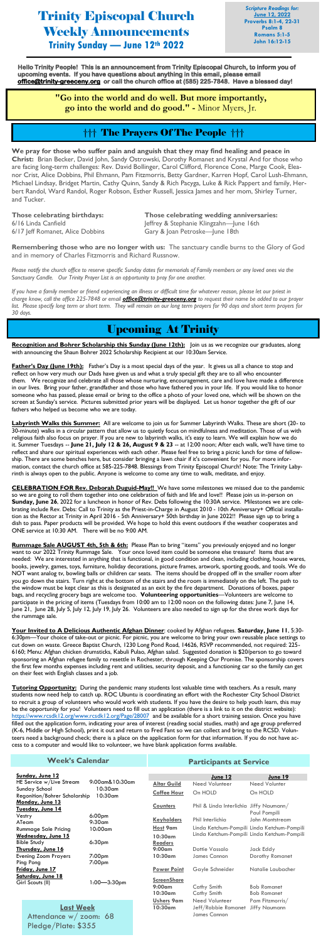Trinity Episcopal Church Weekly Announcements **Trinity Sunday — June 12th 2022**

*Scripture Readings for:* **June 12, 2022 Proverbs 8:1-4, 22-31 Psalm 8 Romans 5:1-5 John 16:12-15**

## Upcoming At Trinity

Recognition and Bohrer Scholarship this Sunday (June 12th): Join us as we recognize our graduates, along with announcing the Shaun Bohrer 2022 Scholarship Recipient at our 10:30am Service.

**Father's Day (June 19th):** Father's Day is a most special days of the year. It gives us all a chance to stop and reflect on how very much our Dads have given us and what a truly special gift they are to all who encounter them. We recognize and celebrate all those whose nurturing, encouragement, care and love have made a difference in our lives. Bring your father, grandfather and those who have fathered you in your life. If you would like to honor someone who has passed, please email or bring to the office a photo of your loved one, which will be shown on the screen at Sunday's service. Pictures submitted prior years will be displayed. Let us honor together the gift of our fathers who helped us become who we are today.

**Labyrinth Walks this Summer:** All are welcome to join us for Summer Labyrinth Walks. These are short (20- to 30-minute) walks in a circular pattern that allow us to quietly focus on mindfulness and meditation. Those of us with religious faith also focus on prayer. If you are new to labyrinth walks, it's easy to learn. We will explain how we do it. Summer Tuesdays -- **June 21, July 12 & 26, August 9 & 23** -- at 12:00 noon; After each walk, we'll have time to reflect and share our spiritual experiences with each other. Please feel free to bring a picnic lunch for time of fellowship. There are some benches here, but consider bringing a lawn chair if it's convenient for you. For more information, contact the church office at 585-225-7848. Blessings from Trinity Episcopal Church! Note: The Trinity Labyrinth is always open to the public. Anyone is welcome to come any time to walk, meditate, and enjoy.

**CELEBRATION FOR Rev. Deborah Duguid-May!!** We have some milestones we missed due to the pandemic so we are going to roll them together into one celebration of faith and life and love!! Please join us in-person on **Sunday, June 26**, 2022 for a luncheon in honor of Rev. Debs following the 10:30A service. Milestones we are celebrating include Rev. Debs: Call to Trinity as the Priest-in-Charge in August 2010 - 10th Anniversary+ Official installation as the Rector at Trinity in April 2016 - 5th Anniversary+ 50th birthday in June 2022!! Please sign up to bring a dish to pass. Paper products will be provided. We hope to hold this event outdoors if the weather cooperates and ONE service at 10:30 AM. There will be no 9:00 AM.

**Those celebrating birthdays: Those celebrating wedding anniversaries:** 6/16 Linda Canfield **Jeffrey & Stephanie Klingzahn—June 16th** 

**Rummage Sale AUGUST 4th, 5th & 6th:** Please Plan to bring "items" you previously enjoyed and no longer want to our 2022 Trinity Rummage Sale. Your once loved item could be someone else treasure! Items that are needed: We are interested in anything that is functional, in good condition and clean, including clothing, house wares, books, jewelry, games, toys, furniture, holiday decorations, picture frames, artwork, sporting goods, and tools. We do NOT want analog tv, bowling balls or children car seats. The items should be dropped off in the smaller room after you go down the stairs. Turn right at the bottom of the stairs and the room is immediately on the left. The path to the window must be kept clear as this is designated as an exit by the fire department. Donations of boxes, paper bags, and recycling grocery bags are welcome too. **Volunteering opportunities**—Volunteers are welcome to participate in the pricing of items (Tuesdays from 10:00 am to 12:00 noon on the following dates: June 7, June 14, June 21, June 28, July 5, July 12, July 19, July 26. Volunteers are also needed to sign up for the three work days for the rummage sale.

**Your Invited to A Delicious Authentic Afghan Dinner**: cooked by Afghan refugees. **Saturday, June 11**, 5:30- 6:30pm—Your choice of take-out or picnic. For picnic, you are welcome to bring your own reusable place settings to cut down on waste. Greece Baptist Church, 1230 Long Pond Road, 14626, RSVP recommended, not required: 225- 6160; Menu: Afghan chicken drumsticks, Kabuli Pulao, Afghan salad. Suggested donation is \$20/person to go toward sponsoring an Afghan refugee family to resettle in Rochester, through Keeping Our Promise. The sponsorship covers the first few months expenses including rent and utilities, security deposit, and a functioning car so the family can get on their feet with English classes and a job.

**Tutoring Opportunity:** During the pandemic many students lost valuable time with teachers. As a result, many

students now need help to catch up. ROC Ubuntu is coordinating an effort with the Rochester City School District to recruit a group of volunteers who would work with students. If you have the desire to help youth learn, this may be the opportunity for you! Volunteers need to fill out an application (there is a link to it on the district website): <https://www.rcsdk12.org/www.rcsdk12.org/Page/28007>and be available for a short training session. Once you have filled out the application form, indicating your area of interest (reading social studies, math) and age group preferred (K-6, Middle or High School), print it out and return to Fred Fant so we can collect and bring to the RCSD. Volunteers need a background check; there is a place on the application form for that information. If you do not have access to a computer and would like to volunteer, we have blank application forms available.

**Hello Trinity People! This is an announcement from Trinity Episcopal Church, to inform you of upcoming events. If you have questions about anything in this email, please email [office@trinity-greeceny.org](mailto:office@trinity-greeceny.org) or call the church office at (585) 225-7848. Have a blessed day!** 

> **"Go into the world and do well. But more importantly, go into the world and do good." -** Minor Myers, Jr.

**We pray for those who suffer pain and anguish that they may find healing and peace in Christ:** Brian Becker, David John, Sandy Ostrowski, Dorothy Romanet and Krystal And for those who are facing long-term challenges: Rev. David Bollinger, Carol Clifford, Florence Cone, Marge Cook, Eleanor Crist, Alice Dobbins, Phil Ehmann, Pam Fitzmorris, Betty Gardner, Karren Hopf, Carol Lush-Ehmann, Michael Lindsay, Bridget Martin, Cathy Quinn, Sandy & Rich Pacyga, Luke & Rick Pappert and family, Herbert Randol, Ward Randol, Roger Robson, Esther Russell, Jessica James and her mom, Shirley Turner, and Tucker.

6/17 Jeff Romanet, Alice Dobbins Gary & Joan Petroske—June 18th

**Remembering those who are no longer with us:** The sanctuary candle burns to the Glory of God and in memory of Charles Fitzmorris and Richard Russnow.

*Please notify the church office to reserve specific Sunday dates for memorials of Family members or any loved ones via the* S*anctuary Candle. Our Trinity Prayer List is an opportunity to pray for one another.* 

*If you have a family member or friend experiencing an illness or difficult time for whatever reason, please let our priest in charge know, call the office 225-7848 or email [office@trinity-greeceny.org](mailto:office@trinity-greeceny.org) to request their name be added to our prayer list. Please specify long term or short term. They will remain on our long term prayers for 90 days and short term prayers for 30 days.*

## ††† The Prayers Of The People †††

#### **Week's Calendar**

Pledge/Plate: \$355

| Sunday, June 12                                   |                                            |                                 |                    |                                         |                                             |
|---------------------------------------------------|--------------------------------------------|---------------------------------|--------------------|-----------------------------------------|---------------------------------------------|
|                                                   | HE Service w/Live Stream                   | 9:00am&10:30am                  |                    | June 12<br>Need Volunteer               | <b>June 19</b><br>Need Volunter             |
|                                                   | Sunday School                              | $10:30$ am                      | <b>Altar Guild</b> |                                         |                                             |
| Regonition/Bohrer Scholarship<br>$10:30$ am       |                                            | <b>Coffee Hour</b>              | On HOLD            | On HOLD                                 |                                             |
| Monday, June 13                                   |                                            |                                 |                    |                                         |                                             |
| Tuesday, June 14                                  |                                            |                                 | <b>Counters</b>    | Phil & Linda Interlichia Jiffy Naumann/ |                                             |
|                                                   | Vestry                                     | 6:00 <sub>pm</sub>              |                    |                                         | Paul Pompili                                |
|                                                   | ATeam                                      | $9:30$ am                       | <b>Keyholders</b>  | Phil Interlichia                        | John Montstream                             |
|                                                   | <b>Rummage Sale Pricing</b>                | $10:00$ am                      | Host 9am           |                                         | Linda Ketchum-Pompili Linda Ketchum-Pompili |
| Wednesday, June 15                                |                                            |                                 | $10:30$ am         |                                         | Linda Ketchum-Pompili Linda Ketchum-Pompili |
| 6:30 <sub>pm</sub><br><b>Bible Study</b>          |                                            | <b>Readers</b>                  |                    |                                         |                                             |
| <b>Thursday, June 16</b>                          |                                            |                                 | $9:00$ am          | Dottie Vassalo                          | Jack Eddy                                   |
| <b>Evening Zoom Prayers</b><br>7:00 <sub>pm</sub> |                                            | 10:30am                         | James Cannon       | Dorothy Romanet                         |                                             |
| Ping Pong<br>7:00 <sub>pm</sub>                   |                                            |                                 |                    |                                         |                                             |
| <b>Friday, June 17</b>                            |                                            |                                 | <b>Power Point</b> | Gayle Schneider                         | Natalie Laubacher                           |
| Saturday, June 18                                 |                                            |                                 |                    |                                         |                                             |
| Girl Scouts (II)<br>$1:00 - 3:30$ pm              |                                            | <b>ScreenShare</b><br>$9:00$ am |                    | <b>Bob Romanet</b>                      |                                             |
|                                                   |                                            |                                 | Cathy Smith        |                                         |                                             |
|                                                   |                                            |                                 | $10:30$ am         | Cathy Smith                             | <b>Bob Romanet</b>                          |
|                                                   | <b>Last Week</b><br>Attendance w/ zoom: 68 |                                 | Ushers 9am         | Need Volunteer                          | Pam Fitzmorris/                             |
|                                                   |                                            |                                 | 10:30am            | Jeff/Robbie Romanet                     | <b>Jiffy Naumann</b>                        |
|                                                   |                                            |                                 |                    | James Cannon                            |                                             |
|                                                   |                                            |                                 |                    |                                         |                                             |

#### **Participants at Service**